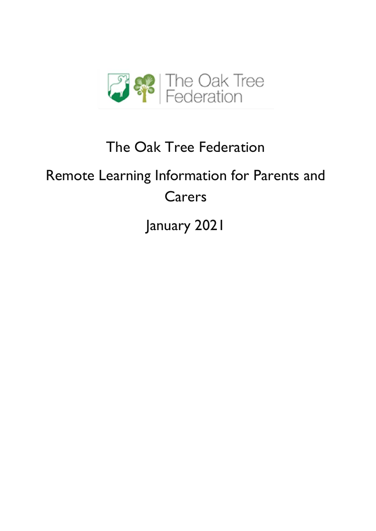

## The Oak Tree Federation

# Remote Learning Information for Parents and Carers

January 2021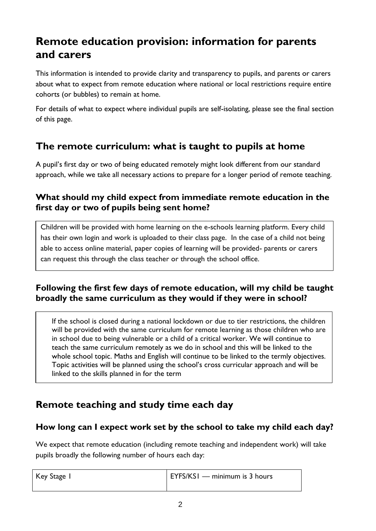## **Remote education provision: information for parents and carers**

This information is intended to provide clarity and transparency to pupils, and parents or carers about what to expect from remote education where national or local restrictions require entire cohorts (or bubbles) to remain at home.

For details of what to expect where individual pupils are self-isolating, please see the final section of this page.

### **The remote curriculum: what is taught to pupils at home**

A pupil's first day or two of being educated remotely might look different from our standard approach, while we take all necessary actions to prepare for a longer period of remote teaching.

#### **What should my child expect from immediate remote education in the first day or two of pupils being sent home?**

Children will be provided with home learning on the e-schools learning platform. Every child has their own login and work is uploaded to their class page. In the case of a child not being able to access online material, paper copies of learning will be provided- parents or carers can request this through the class teacher or through the school office.

#### **Following the first few days of remote education, will my child be taught broadly the same curriculum as they would if they were in school?**

If the school is closed during a national lockdown or due to tier restrictions, the children will be provided with the same curriculum for remote learning as those children who are in school due to being vulnerable or a child of a critical worker. We will continue to teach the same curriculum remotely as we do in school and this will be linked to the whole school topic. Maths and English will continue to be linked to the termly objectives. Topic activities will be planned using the school's cross curricular approach and will be linked to the skills planned in for the term

## **Remote teaching and study time each day**

#### **How long can I expect work set by the school to take my child each day?**

We expect that remote education (including remote teaching and independent work) will take pupils broadly the following number of hours each day:

| Key Stage I | EYFS/KSI — minimum is 3 hours |
|-------------|-------------------------------|
|             |                               |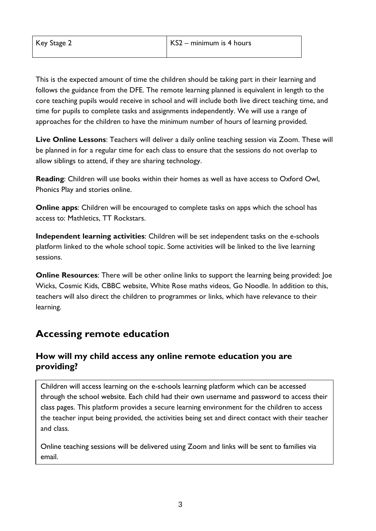This is the expected amount of time the children should be taking part in their learning and follows the guidance from the DFE. The remote learning planned is equivalent in length to the core teaching pupils would receive in school and will include both live direct teaching time, and time for pupils to complete tasks and assignments independently. We will use a range of approaches for the children to have the minimum number of hours of learning provided.

**Live Online Lessons**: Teachers will deliver a daily online teaching session via Zoom. These will be planned in for a regular time for each class to ensure that the sessions do not overlap to allow siblings to attend, if they are sharing technology.

**Reading**: Children will use books within their homes as well as have access to Oxford Owl, Phonics Play and stories online.

**Online apps**: Children will be encouraged to complete tasks on apps which the school has access to: Mathletics, TT Rockstars.

**Independent learning activities**: Children will be set independent tasks on the e-schools platform linked to the whole school topic. Some activities will be linked to the live learning sessions.

**Online Resources**: There will be other online links to support the learning being provided: Joe Wicks, Cosmic Kids, CBBC website, White Rose maths videos, Go Noodle. In addition to this, teachers will also direct the children to programmes or links, which have relevance to their learning.

### **Accessing remote education**

#### **How will my child access any online remote education you are providing?**

Children will access learning on the e-schools learning platform which can be accessed through the school website. Each child had their own username and password to access their class pages. This platform provides a secure learning environment for the children to access the teacher input being provided, the activities being set and direct contact with their teacher and class.

Online teaching sessions will be delivered using Zoom and links will be sent to families via email.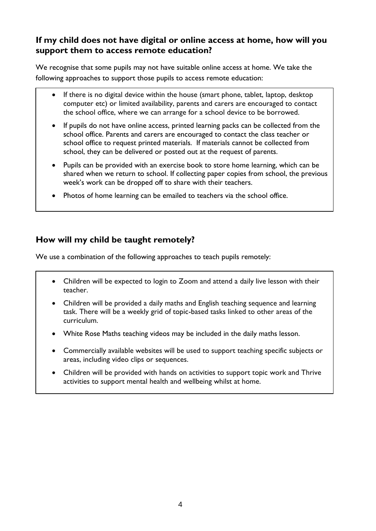#### **If my child does not have digital or online access at home, how will you support them to access remote education?**

We recognise that some pupils may not have suitable online access at home. We take the following approaches to support those pupils to access remote education:

- If there is no digital device within the house (smart phone, tablet, laptop, desktop computer etc) or limited availability, parents and carers are encouraged to contact the school office, where we can arrange for a school device to be borrowed.
- If pupils do not have online access, printed learning packs can be collected from the school office. Parents and carers are encouraged to contact the class teacher or school office to request printed materials. If materials cannot be collected from school, they can be delivered or posted out at the request of parents.
- Pupils can be provided with an exercise book to store home learning, which can be shared when we return to school. If collecting paper copies from school, the previous week's work can be dropped off to share with their teachers.
- Photos of home learning can be emailed to teachers via the school office.

#### **How will my child be taught remotely?**

i<br>I

We use a combination of the following approaches to teach pupils remotely:

- Children will be expected to login to Zoom and attend a daily live lesson with their teacher.
- Children will be provided a daily maths and English teaching sequence and learning task. There will be a weekly grid of topic-based tasks linked to other areas of the curriculum.
- White Rose Maths teaching videos may be included in the daily maths lesson.
- Commercially available websites will be used to support teaching specific subjects or areas, including video clips or sequences.
- Children will be provided with hands on activities to support topic work and Thrive activities to support mental health and wellbeing whilst at home.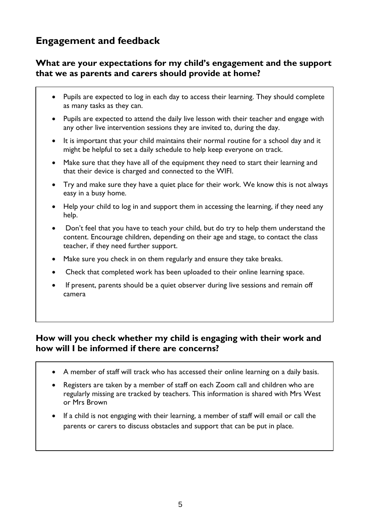## **Engagement and feedback**

#### **What are your expectations for my child's engagement and the support that we as parents and carers should provide at home?**

- Pupils are expected to log in each day to access their learning. They should complete as many tasks as they can.
- Pupils are expected to attend the daily live lesson with their teacher and engage with any other live intervention sessions they are invited to, during the day.
- It is important that your child maintains their normal routine for a school day and it might be helpful to set a daily schedule to help keep everyone on track.
- Make sure that they have all of the equipment they need to start their learning and that their device is charged and connected to the WIFI.
- Try and make sure they have a quiet place for their work. We know this is not always easy in a busy home.
- Help your child to log in and support them in accessing the learning, if they need any help.
- Don't feel that you have to teach your child, but do try to help them understand the content. Encourage children, depending on their age and stage, to contact the class teacher, if they need further support.
- Make sure you check in on them regularly and ensure they take breaks.
- Check that completed work has been uploaded to their online learning space.
- If present, parents should be a quiet observer during live sessions and remain off camera

#### **How will you check whether my child is engaging with their work and how will I be informed if there are concerns?**

- A member of staff will track who has accessed their online learning on a daily basis.
- Registers are taken by a member of staff on each Zoom call and children who are regularly missing are tracked by teachers. This information is shared with Mrs West or Mrs Brown
- If a child is not engaging with their learning, a member of staff will email or call the parents or carers to discuss obstacles and support that can be put in place.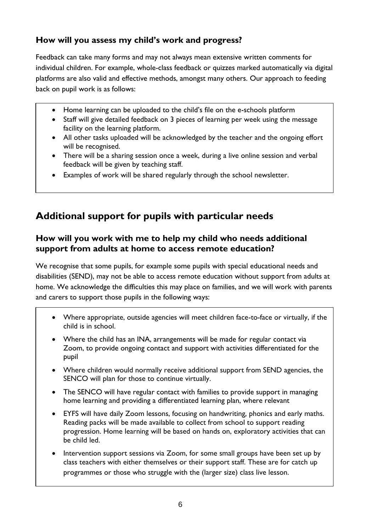#### **How will you assess my child's work and progress?**

Feedback can take many forms and may not always mean extensive written comments for individual children. For example, whole-class feedback or quizzes marked automatically via digital platforms are also valid and effective methods, amongst many others. Our approach to feeding back on pupil work is as follows:

- Home learning can be uploaded to the child's file on the e-schools platform
- Staff will give detailed feedback on 3 pieces of learning per week using the message facility on the learning platform.
- All other tasks uploaded will be acknowledged by the teacher and the ongoing effort will be recognised.
- There will be a sharing session once a week, during a live online session and verbal feedback will be given by teaching staff.
- Examples of work will be shared regularly through the school newsletter.

## **Additional support for pupils with particular needs**

#### **How will you work with me to help my child who needs additional support from adults at home to access remote education?**

We recognise that some pupils, for example some pupils with special educational needs and disabilities (SEND), may not be able to access remote education without support from adults at home. We acknowledge the difficulties this may place on families, and we will work with parents and carers to support those pupils in the following ways:

- Where appropriate, outside agencies will meet children face-to-face or virtually, if the child is in school.
- Where the child has an INA, arrangements will be made for regular contact via Zoom, to provide ongoing contact and support with activities differentiated for the pupil
- Where children would normally receive additional support from SEND agencies, the SENCO will plan for those to continue virtually.
- The SENCO will have regular contact with families to provide support in managing home learning and providing a differentiated learning plan, where relevant
- EYFS will have daily Zoom lessons, focusing on handwriting, phonics and early maths. Reading packs will be made available to collect from school to support reading progression. Home learning will be based on hands on, exploratory activities that can be child led.
- Intervention support sessions via Zoom, for some small groups have been set up by class teachers with either themselves or their support staff. These are for catch up programmes or those who struggle with the (larger size) class live lesson.